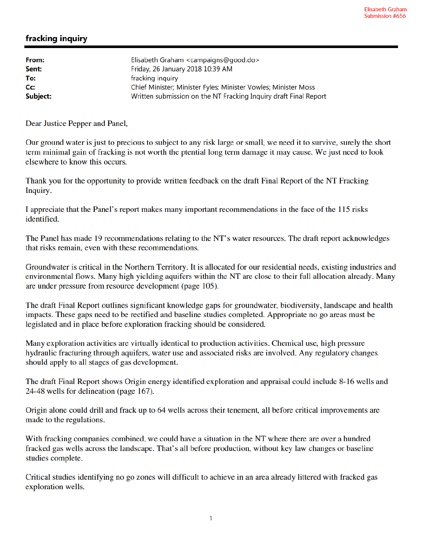## fracking inquiry

| Elisabeth Graham <campaigns@good.do></campaigns@good.do>         |
|------------------------------------------------------------------|
| Friday, 26 January 2018 10:39 AM                                 |
| fracking inquiry                                                 |
| Chief Minister; Minister Fyles; Minister Vowles; Minister Moss   |
| Written submission on the NT Fracking Inquiry draft Final Report |
|                                                                  |

Dear Justice Pepper and Panel,

Our ground water is just to precious to subject to any risk large or small, we need it to survive, surely the short term minimal gain of fracking is not worth the ptential long term damage it may cause. We just need to look elsewhere to know this occurs.

Thank you for the opportunity to provide written feedback on the draft Final Report of the NT Fracking Inquiry.

I appreciate that the Panel's report makes many important recommendations in the face of the 115 risks identified.

The Panel has made 19 recommendations relating to the NT's water resources. The draft report acknowledges that risks remain, even with these recommendations.

Groundwater is critical in the Northern Territory. It is allocated for our residential needs, existing industries and environmental flows. Many high yielding aquifers within the NT are close to their full allocation already. Many are under pressure from resource development (page 105).

The draft Final Report outlines significant knowledge gaps for groundwater, biodiversity, landscape and health impacts. These gaps need to be rectified and baseline studies completed. Appropriate no go areas must be legislated and in place before exploration fracking should be considered.

Many exploration activities are virtually identical to production activities. Chemical use, high pressure hydraulic fracturing through aquifers, water use and associated risks are involved. Any regulatory changes should apply to all stages of gas development.

The draft Final Report shows Origin energy identified exploration and appraisal could include 8-16 wells and 24-48 wells for delineation (page 167).

Origin alone could drill and frack up to 64 wells across their tenement, all before critical improvements are made to the regulations.

With fracking companies combined, we could have a situation in the NT where there are over a hundred fracked gas wells across the landscape. That's all before production, without key law changes or baseline studies complete.

Critical studies identifying no go zones will difficult to achieve in an area already littered with fracked gas exploration wells.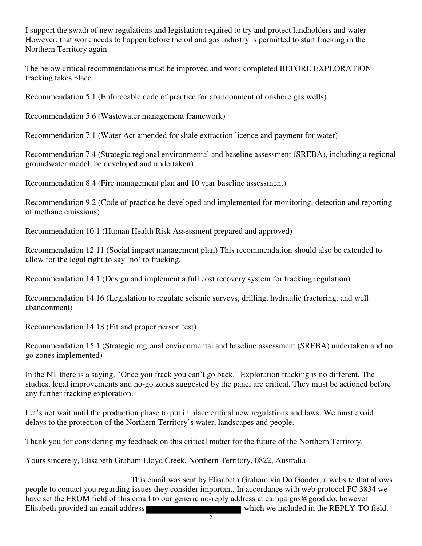I support the swath of new regulations and legislation required to try and protect landholders and water. However, that work needs to happen before the oil and gas industry is permitted to start fracking in the Northern Territory again.

The below critical recommendations must be improved and work completed BEFORE EXPLORATION fracking takes place.

Recommendation 5.1 (Enforceable code of practice for abandonment of onshore gas wells)

Recommendation 5.6 (Wastewater management framework)

Recommendation 7.1 (Water Act amended for shale extraction licence and payment for water)

Recommendation 7.4 (Strategic regional environmental and baseline assessment (SREBA), including a regional groundwater model, be developed and undertaken)

Recommendation 8.4 (Fire management plan and 10 year baseline assessment)

Recommendation 9.2 (Code of practice be developed and implemented for monitoring, detection and reporting of methane emissions)

Recommendation 10.1 (Human Health Risk Assessment prepared and approved)

Recommendation 12.11 (Social impact management plan) This recommendation should also be extended to allow for the legal right to say 'no' to fracking.

Recommendation 14.1 (Design and implement a full cost recovery system for fracking regulation)

Recommendation 14.16 (Legislation to regulate seismic surveys, drilling, hydraulic fracturing, and well abandonment)

Recommendation 14.18 (Fit and proper person test)

Recommendation 15.1 (Strategic regional environmental and baseline assessment (SREBA) undertaken and no go zones implemented)

In the NT there is a saying, "Once you frack you can't go back." Exploration fracking is no different. The studies, legal improvements and no-go zones suggested by the panel are critical. They must be actioned before any further fracking exploration.

Let's not wait until the production phase to put in place critical new regulations and laws. We must avoid delays to the protection of the Northern Territory's water, landscapes and people.

Thank you for considering my feedback on this critical matter for the future of the Northern Territory.

Yours sincerely, Elisabeth Graham Lloyd Creek, Northern Territory, 0822, Australia

This email was sent by Elisabeth Graham via Do Gooder, a website that allows<br>people to contact you regarding issues they consider important. In accordance with web protocol FC 3834 we have set the FROM field of this email to our generic no-reply address at campaigns@good.do, however Elisabeth provided an email address which we included in the REPLY-TO field.